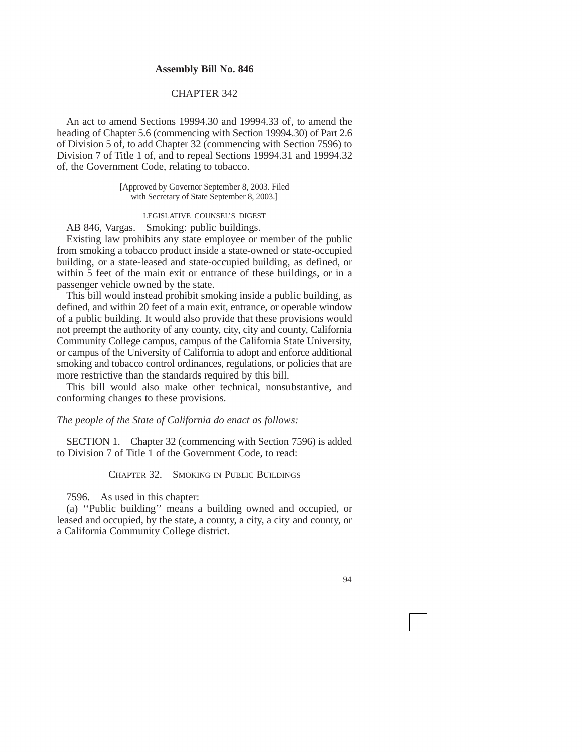## **Assembly Bill No. 846**

## CHAPTER 342

An act to amend Sections [19994.30](https://19994.30) and [19994.33](https://19994.33) of, to amend the heading of Chapter 5.6 (commencing with Section [19994.30\)](https://19994.30) of Part 2.6 of Division 5 of, to add Chapter 32 (commencing with Section 7596) to Division 7 of Title 1 of, and to repeal Sections [19994.31](https://19994.31) and [19994.32](https://19994.32)  of, the Government Code, relating to tobacco.

> [Approved by Governor September 8, 2003. Filed with Secretary of State September 8, 2003.]

> > LEGISLATIVE COUNSEL'S DIGEST

AB 846, Vargas. Smoking: public buildings.

Existing law prohibits any state employee or member of the public from smoking a tobacco product inside a state-owned or state-occupied building, or a state-leased and state-occupied building, as defined, or within 5 feet of the main exit or entrance of these buildings, or in a passenger vehicle owned by the state.

This bill would instead prohibit smoking inside a public building, as defined, and within 20 feet of a main exit, entrance, or operable window of a public building. It would also provide that these provisions would not preempt the authority of any county, city, city and county, California Community College campus, campus of the California State University, or campus of the University of California to adopt and enforce additional smoking and tobacco control ordinances, regulations, or policies that are more restrictive than the standards required by this bill.

This bill would also make other technical, nonsubstantive, and conforming changes to these provisions.

*The people of the State of California do enact as follows:* 

SECTION 1. Chapter 32 (commencing with Section 7596) is added to Division 7 of Title 1 of the Government Code, to read:

CHAPTER 32. SMOKING IN PUBLIC BUILDINGS

7596. As used in this chapter:

(a) ''Public building'' means a building owned and occupied, or leased and occupied, by the state, a county, a city, a city and county, or a California Community College district.

94

i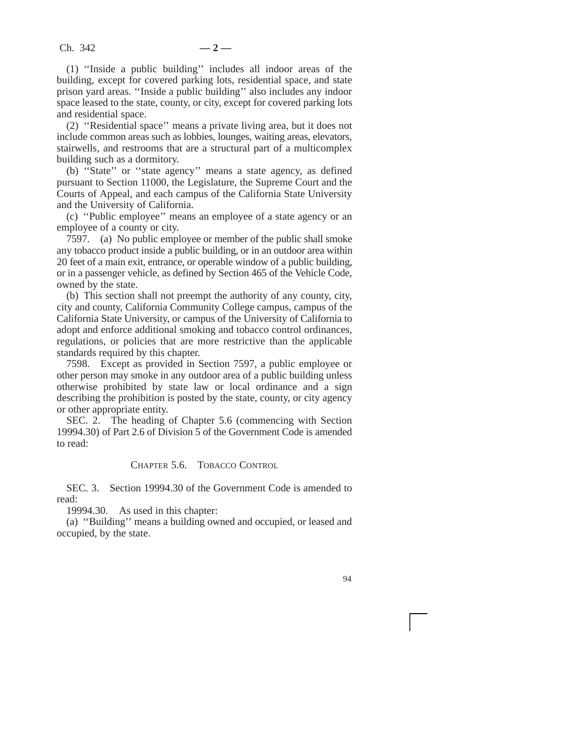(1) ''Inside a public building'' includes all indoor areas of the building, except for covered parking lots, residential space, and state prison yard areas. ''Inside a public building'' also includes any indoor space leased to the state, county, or city, except for covered parking lots and residential space.

(2) ''Residential space'' means a private living area, but it does not include common areas such as lobbies, lounges, waiting areas, elevators, stairwells, and restrooms that are a structural part of a multicomplex building such as a dormitory.

(b) ''State'' or ''state agency'' means a state agency, as defined pursuant to Section 11000, the Legislature, the Supreme Court and the Courts of Appeal, and each campus of the California State University and the University of California.

(c) ''Public employee'' means an employee of a state agency or an employee of a county or city.

7597. (a) No public employee or member of the public shall smoke any tobacco product inside a public building, or in an outdoor area within 20 feet of a main exit, entrance, or operable window of a public building, or in a passenger vehicle, as defined by Section 465 of the Vehicle Code, owned by the state.

(b) This section shall not preempt the authority of any county, city, city and county, California Community College campus, campus of the California State University, or campus of the University of California to adopt and enforce additional smoking and tobacco control ordinances, regulations, or policies that are more restrictive than the applicable standards required by this chapter.

7598. Except as provided in Section 7597, a public employee or other person may smoke in any outdoor area of a public building unless otherwise prohibited by state law or local ordinance and a sign describing the prohibition is posted by the state, county, or city agency or other appropriate entity.

SEC. 2. The heading of Chapter 5.6 (commencing with Section [19994.30](https://19994.30)) of Part 2.6 of Division 5 of the Government Code is amended to read:

## CHAPTER 5.6. TOBACCO CONTROL

SEC. 3. Section [19994.30](https://19994.30) of the Government Code is amended to read:

[19994.30](https://19994.30). As used in this chapter:

(a) ''Building'' means a building owned and occupied, or leased and occupied, by the state.

i